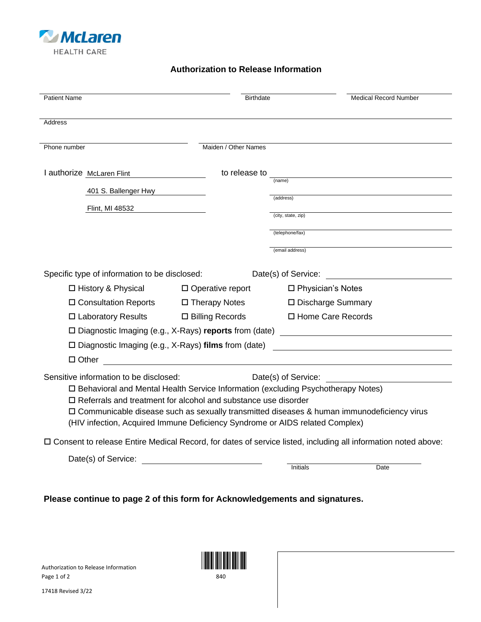

## **Authorization to Release Information**

| <b>Patient Name</b>                                                                                                                                                         | <b>Birthdate</b>        |                     | <b>Medical Record Number</b> |
|-----------------------------------------------------------------------------------------------------------------------------------------------------------------------------|-------------------------|---------------------|------------------------------|
|                                                                                                                                                                             |                         |                     |                              |
| Address                                                                                                                                                                     |                         |                     |                              |
| Phone number                                                                                                                                                                | Maiden / Other Names    |                     |                              |
| I authorize McLaren Flint                                                                                                                                                   | to release to           |                     |                              |
| 401 S. Ballenger Hwy                                                                                                                                                        |                         | (name)              |                              |
|                                                                                                                                                                             |                         | (address)           |                              |
| Flint, MI 48532                                                                                                                                                             |                         | (city, state, zip)  |                              |
|                                                                                                                                                                             |                         | (telephone/fax)     |                              |
|                                                                                                                                                                             |                         | (email address)     |                              |
| Specific type of information to be disclosed:                                                                                                                               |                         | Date(s) of Service: |                              |
| □ History & Physical                                                                                                                                                        | $\Box$ Operative report | □ Physician's Notes |                              |
| □ Consultation Reports                                                                                                                                                      | □ Therapy Notes         | □ Discharge Summary |                              |
| $\Box$ Laboratory Results                                                                                                                                                   | $\Box$ Billing Records  | □ Home Care Records |                              |
| $\square$ Diagnostic Imaging (e.g., X-Rays) reports from (date)                                                                                                             |                         |                     |                              |
| $\square$ Diagnostic Imaging (e.g., X-Rays) films from (date)                                                                                                               |                         |                     |                              |
| $\Box$ Other                                                                                                                                                                |                         |                     |                              |
| Sensitive information to be disclosed:                                                                                                                                      |                         | Date(s) of Service: |                              |
| □ Behavioral and Mental Health Service Information (excluding Psychotherapy Notes)                                                                                          |                         |                     |                              |
| $\Box$ Referrals and treatment for alcohol and substance use disorder                                                                                                       |                         |                     |                              |
| □ Communicable disease such as sexually transmitted diseases & human immunodeficiency virus<br>(HIV infection, Acquired Immune Deficiency Syndrome or AIDS related Complex) |                         |                     |                              |
|                                                                                                                                                                             |                         |                     |                              |
| □ Consent to release Entire Medical Record, for dates of service listed, including all information noted above:                                                             |                         |                     |                              |
| Date(s) of Service:                                                                                                                                                         |                         | <b>Initials</b>     | Date                         |
|                                                                                                                                                                             |                         |                     |                              |

**Please continue to page 2 of this form for Acknowledgements and signatures.**